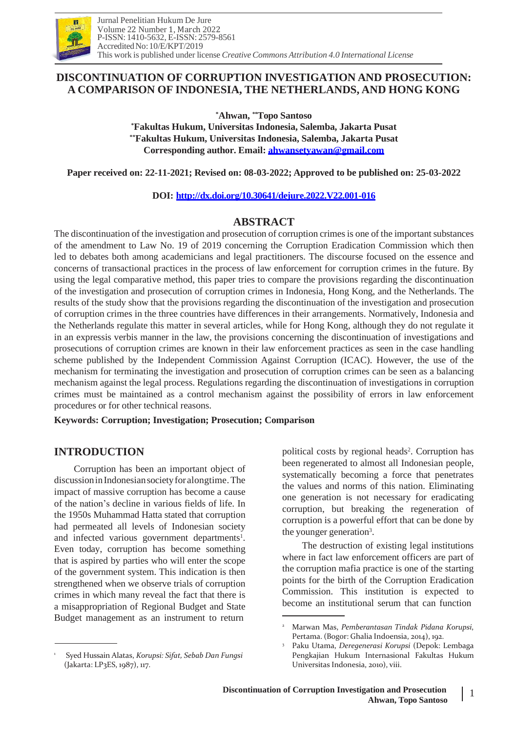

# **DISCONTINUATION OF CORRUPTION INVESTIGATION AND PROSECUTION: A COMPARISON OF INDONESIA, THE NETHERLANDS, AND HONG KONG**

**\*Ahwan, \*\*Topo Santoso**

**\*Fakultas Hukum, Universitas Indonesia, Salemba, Jakarta Pusat \*\*Fakultas Hukum, Universitas Indonesia, Salemba, Jakarta Pusat Corresponding author. Email: [ahwansetyawan@gmail.com](mailto:ahwansetyawan@gmail.com)**

**Paper received on: 22-11-2021; Revised on: 08-03-2022; Approved to be published on: 25-03-2022**

## **DOI: <http://dx.doi.org/10.30641/dejure.2022.V22.001-016>**

# **ABSTRACT**

The discontinuation of the investigation and prosecution of corruption crimes is one of the important substances of the amendment to Law No. 19 of 2019 concerning the Corruption Eradication Commission which then led to debates both among academicians and legal practitioners. The discourse focused on the essence and concerns of transactional practices in the process of law enforcement for corruption crimes in the future. By using the legal comparative method, this paper tries to compare the provisions regarding the discontinuation of the investigation and prosecution of corruption crimes in Indonesia, Hong Kong, and the Netherlands. The results of the study show that the provisions regarding the discontinuation of the investigation and prosecution of corruption crimes in the three countries have differences in their arrangements. Normatively, Indonesia and the Netherlands regulate this matter in several articles, while for Hong Kong, although they do not regulate it in an expressis verbis manner in the law, the provisions concerning the discontinuation of investigations and prosecutions of corruption crimes are known in their law enforcement practices as seen in the case handling scheme published by the Independent Commission Against Corruption (ICAC). However, the use of the mechanism for terminating the investigation and prosecution of corruption crimes can be seen as a balancing mechanism against the legal process. Regulations regarding the discontinuation of investigations in corruption crimes must be maintained as a control mechanism against the possibility of errors in law enforcement procedures or for other technical reasons.

**Keywords: Corruption; Investigation; Prosecution; Comparison**

# **INTRODUCTION**

Corruption has been an important object of discussion in Indonesian society for alongtime. The impact of massive corruption has become a cause of the nation's decline in various fields of life. In the 1950s Muhammad Hatta stated that corruption had permeated all levels of Indonesian society and infected various government departments<sup>1</sup>. Even today, corruption has become something that is aspired by parties who will enter the scope of the government system. This indication is then strengthened when we observe trials of corruption crimes in which many reveal the fact that there is a misappropriation of Regional Budget and State Budget management as an instrument to return

political costs by regional heads<sup>2</sup>. Corruption has been regenerated to almost all Indonesian people, systematically becoming a force that penetrates the values and norms of this nation. Eliminating one generation is not necessary for eradicating corruption, but breaking the regeneration of corruption is a powerful effort that can be done by the younger generation<sup>3</sup>.

The destruction of existing legal institutions where in fact law enforcement officers are part of the corruption mafia practice is one of the starting points for the birth of the Corruption Eradication Commission. This institution is expected to become an institutional serum that can function

1

<sup>1</sup> Syed Hussain Alatas, *Korupsi: Sifat, Sebab Dan Fungsi* (Jakarta: LP3ES, 1987), 117.

<sup>2</sup> Marwan Mas, *Pemberantasan Tindak Pidana Korupsi*, Pertama. (Bogor: Ghalia Indoensia, 2014), 192.

<sup>3</sup> Paku Utama, *Deregenerasi Korupsi* (Depok: Lembaga Pengkajian Hukum Internasional Fakultas Hukum Universitas Indonesia, 2010), viii.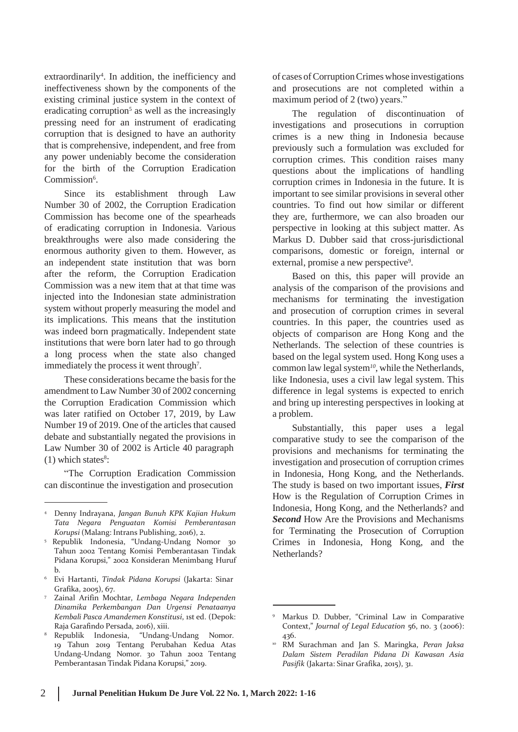$extr aordinarily<sup>4</sup>$ . In addition, the inefficiency and ineffectiveness shown by the components of the existing criminal justice system in the context of eradicating corruption<sup>5</sup> as well as the increasingly pressing need for an instrument of eradicating corruption that is designed to have an authority that is comprehensive, independent, and free from any power undeniably become the consideration for the birth of the Corruption Eradication Commission<sup>6</sup>.

Since its establishment through Law Number 30 of 2002, the Corruption Eradication Commission has become one of the spearheads of eradicating corruption in Indonesia. Various breakthroughs were also made considering the enormous authority given to them. However, as an independent state institution that was born after the reform, the Corruption Eradication Commission was a new item that at that time was injected into the Indonesian state administration system without properly measuring the model and its implications. This means that the institution was indeed born pragmatically. Independent state institutions that were born later had to go through a long process when the state also changed immediately the process it went through<sup>7</sup>.

These considerations became the basis for the amendment to Law Number 30 of 2002 concerning the Corruption Eradication Commission which was later ratified on October 17, 2019, by Law Number 19 of 2019. One of the articles that caused debate and substantially negated the provisions in Law Number 30 of 2002 is Article 40 paragraph  $(1)$  which states<sup>8</sup>:

"The Corruption Eradication Commission can discontinue the investigation and prosecution

- <sup>6</sup>Evi Hartanti, *Tindak Pidana Korupsi* (Jakarta: Sinar Grafika, 2005), 67.
- <sup>7</sup> Zainal Arifin Mochtar, *Lembaga Negara Independen Dinamika Perkembangan Dan Urgensi Penataanya Kembali Pasca Amandemen Konstitusi*, 1st ed. (Depok: Raja Garafindo Persada, 2016), xiii.
- <sup>8</sup>Republik Indonesia, "Undang-Undang Nomor. 19 Tahun 2019 Tentang Perubahan Kedua Atas Undang-Undang Nomor. 30 Tahun 2002 Tentang Pemberantasan Tindak Pidana Korupsi," 2019.

of cases ofCorruptionCrimes whose investigations and prosecutions are not completed within a maximum period of 2 (two) years."

The regulation of discontinuation of investigations and prosecutions in corruption crimes is a new thing in Indonesia because previously such a formulation was excluded for corruption crimes. This condition raises many questions about the implications of handling corruption crimes in Indonesia in the future. It is important to see similar provisions in several other countries. To find out how similar or different they are, furthermore, we can also broaden our perspective in looking at this subject matter. As Markus D. Dubber said that cross-jurisdictional comparisons, domestic or foreign, internal or external, promise a new perspective<sup>9</sup>.

Based on this, this paper will provide an analysis of the comparison of the provisions and mechanisms for terminating the investigation and prosecution of corruption crimes in several countries. In this paper, the countries used as objects of comparison are Hong Kong and the Netherlands. The selection of these countries is based on the legal system used. Hong Kong uses a common law legal system<sup>10</sup>, while the Netherlands, like Indonesia, uses a civil law legal system. This difference in legal systems is expected to enrich and bring up interesting perspectives in looking at a problem.

Substantially, this paper uses a legal comparative study to see the comparison of the provisions and mechanisms for terminating the investigation and prosecution of corruption crimes in Indonesia, Hong Kong, and the Netherlands. The study is based on two important issues, *First* How is the Regulation of Corruption Crimes in Indonesia, Hong Kong, and the Netherlands? and *Second* How Are the Provisions and Mechanisms for Terminating the Prosecution of Corruption Crimes in Indonesia, Hong Kong, and the Netherlands?

<sup>4</sup> Denny Indrayana, *Jangan Bunuh KPK Kajian Hukum Tata Negara Penguatan Komisi Pemberantasan Korupsi* (Malang: Intrans Publishing, 2016), 2.

<sup>5</sup> Republik Indonesia, "Undang-Undang Nomor 30 Tahun 2002 Tentang Komisi Pemberantasan Tindak Pidana Korupsi," 2002 Konsideran Menimbang Huruf b.

<sup>9</sup> Markus D. Dubber, "Criminal Law in Comparative Context," *Journal of Legal Education* 56, no. 3 (2006): 436.

<sup>10</sup> RM Surachman and Jan S. Maringka, *Peran Jaksa Dalam Sistem Peradilan Pidana Di Kawasan Asia Pasifik* (Jakarta: Sinar Grafika, 2015), 31.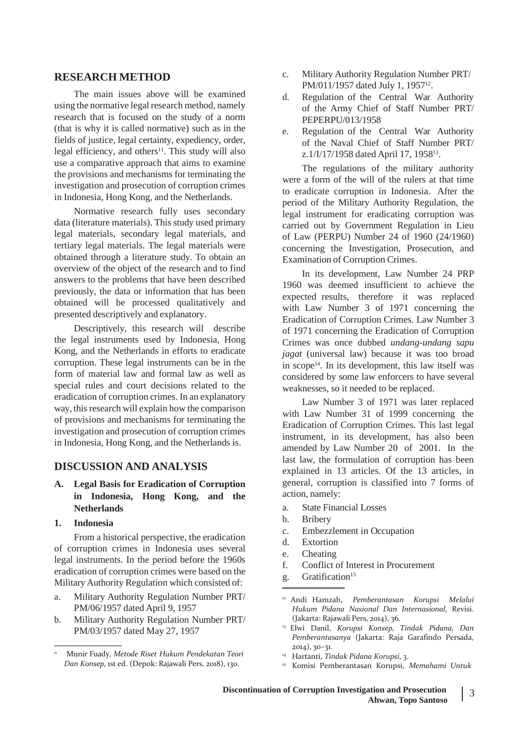## **RESEARCH METHOD**

The main issues above will be examined using the normative legal research method, namely research that is focused on the study of a norm (that is why it is called normative) such as in the fields of justice, legal certainty, expediency, order, legal efficiency, and others<sup>11</sup>. This study will also use a comparative approach that aims to examine the provisions and mechanisms for terminating the investigation and prosecution of corruption crimes in Indonesia, Hong Kong, and the Netherlands.

Normative research fully uses secondary data (literature materials). This study used primary legal materials, secondary legal materials, and tertiary legal materials. The legal materials were obtained through a literature study. To obtain an overview of the object of the research and to find answers to the problems that have been described previously, the data or information that has been obtained will be processed qualitatively and presented descriptively and explanatory.

Descriptively, this research will describe the legal instruments used by Indonesia, Hong Kong, and the Netherlands in efforts to eradicate corruption. These legal instruments can be in the form of material law and formal law as well as special rules and court decisions related to the eradication of corruption crimes. In an explanatory way, this research will explain how the comparison of provisions and mechanisms for terminating the investigation and prosecution of corruption crimes in Indonesia, Hong Kong, and the Netherlands is.

## **DISCUSSION AND ANALYSIS**

- **A. Legal Basis for Eradication of Corruption in Indonesia, Hong Kong, and the Netherlands**
- **1. Indonesia**

From a historical perspective, the eradication of corruption crimes in Indonesia uses several legal instruments. In the period before the 1960s eradication of corruption crimes were based on the Military Authority Regulation which consisted of:

- a. Military Authority Regulation Number PRT/ PM/06/1957 dated April 9, 1957
- b. Military Authority Regulation Number PRT/ PM/03/1957 dated May 27, 1957
- c. Military Authority Regulation Number PRT/ PM/011/1957 dated July 1, 1957<sup>12</sup>.
- d. Regulation of the Central War Authority of the Army Chief of Staff Number PRT/ PEPERPU/013/1958
- e. Regulation of the Central War Authority of the Naval Chief of Staff Number PRT/ z.1/I/17/1958 dated April 17, 1958<sup>13</sup> .

The regulations of the military authority were a form of the will of the rulers at that time to eradicate corruption in Indonesia. After the period of the Military Authority Regulation, the legal instrument for eradicating corruption was carried out by Government Regulation in Lieu of Law (PERPU) Number 24 of 1960 (24/1960) concerning the Investigation, Prosecution, and Examination of Corruption Crimes.

In its development, Law Number 24 PRP 1960 was deemed insufficient to achieve the expected results, therefore it was replaced with Law Number 3 of 1971 concerning the Eradication of Corruption Crimes. Law Number 3 of 1971 concerning the Eradication of Corruption Crimes was once dubbed *undang-undang sapu jagat* (universal law) because it was too broad in scope<sup>14</sup>. In its development, this law itself was considered by some law enforcers to have several weaknesses, so it needed to be replaced.

Law Number 3 of 1971 was later replaced with Law Number 31 of 1999 concerning the Eradication of Corruption Crimes. This last legal instrument, in its development, has also been amended by Law Number 20 of 2001. In the last law, the formulation of corruption has been explained in 13 articles. Of the 13 articles, in general, corruption is classified into 7 forms of action, namely:

- a. State Financial Losses
- b. Bribery
- c. Embezzlement in Occupation
- d. Extortion
- e. Cheating
- f. Conflict of Interest in Procurement
- g. Gratification<sup>15</sup>

<sup>11</sup> Munir Fuady, *Metode Riset Hukum Pendekatan Teori Dan Konsep*, 1st ed. (Depok: Rajawali Pers, 2018), 130.

<sup>12</sup> Andi Hamzah, *Pemberantasan Korupsi Melalui Hukum Pidana Nasional Dan Internasional*, Revisi. (Jakarta: Rajawali Pers, 2014), 36.

<sup>13</sup> Elwi Danil, *Korupsi Konsep, Tindak Pidana, Dan Pemberantasanya* (Jakarta: Raja Garafindo Persada, 2014), 30–31.

<sup>&</sup>lt;sup>14</sup> Hartanti, *Tindak Pidana Korupsi*, 3.

<sup>15</sup>Komisi Pemberantasan Korupsi, *Memahami Untuk*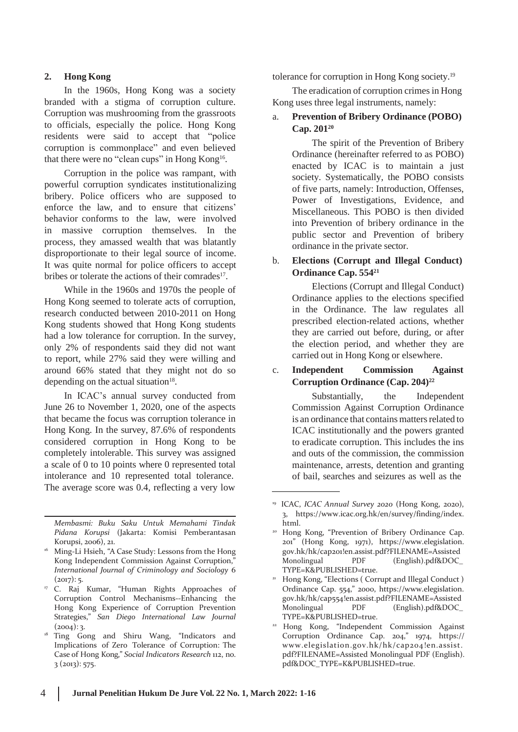## **2. Hong Kong**

In the 1960s, Hong Kong was a society branded with a stigma of corruption culture. Corruption was mushrooming from the grassroots to officials, especially the police. Hong Kong residents were said to accept that "police corruption is commonplace" and even believed that there were no "clean cups" in Hong Kong<sup>16</sup>.

Corruption in the police was rampant, with powerful corruption syndicates institutionalizing bribery. Police officers who are supposed to enforce the law, and to ensure that citizens' behavior conforms to the law, were involved in massive corruption themselves. In the process, they amassed wealth that was blatantly disproportionate to their legal source of income. It was quite normal for police officers to accept bribes or tolerate the actions of their comrades<sup>17</sup>.

While in the 1960s and 1970s the people of Hong Kong seemed to tolerate acts of corruption, research conducted between 2010-2011 on Hong Kong students showed that Hong Kong students had a low tolerance for corruption. In the survey, only 2% of respondents said they did not want to report, while 27% said they were willing and around 66% stated that they might not do so depending on the actual situation $18$ .

In ICAC's annual survey conducted from June 26 to November 1, 2020, one of the aspects that became the focus was corruption tolerance in Hong Kong. In the survey, 87.6% of respondents considered corruption in Hong Kong to be completely intolerable. This survey was assigned a scale of 0 to 10 points where 0 represented total intolerance and 10 represented total tolerance. The average score was 0.4, reflecting a very low

*Membasmi: Buku Saku Untuk Memahami Tindak Pidana Korupsi* (Jakarta: Komisi Pemberantasan Korupsi, 2006), 21.

tolerance for corruption in Hong Kong society.<sup>19</sup>

The eradication of corruption crimes in Hong Kong uses three legal instruments, namely:

## a. **Prevention of Bribery Ordinance (POBO) Cap. 201<sup>20</sup>**

The spirit of the Prevention of Bribery Ordinance (hereinafter referred to as POBO) enacted by ICAC is to maintain a just society. Systematically, the POBO consists of five parts, namely: Introduction, Offenses, Power of Investigations, Evidence, and Miscellaneous. This POBO is then divided into Prevention of bribery ordinance in the public sector and Prevention of bribery ordinance in the private sector.

## b. **Elections (Corrupt and Illegal Conduct) Ordinance Cap. 554<sup>21</sup>**

Elections (Corrupt and Illegal Conduct) Ordinance applies to the elections specified in the Ordinance. The law regulates all prescribed election-related actions, whether they are carried out before, during, or after the election period, and whether they are carried out in Hong Kong or elsewhere.

## c. **Independent Commission Against Corruption Ordinance (Cap. 204)<sup>22</sup>**

Substantially, the Independent Commission Against Corruption Ordinance is an ordinance that contains matters related to ICAC institutionally and the powers granted to eradicate corruption. This includes the ins and outs of the commission, the commission maintenance, arrests, detention and granting of bail, searches and seizures as well as the

<sup>&</sup>lt;sup>16</sup> Ming-Li Hsieh, "A Case Study: Lessons from the Hong Kong Independent Commission Against Corruption,' *International Journal of Criminology and Sociology* 6  $(2017): 5.$ 

<sup>&</sup>lt;sup>17</sup> C. Raj Kumar, "Human Rights Approaches of Corruption Control Mechanisms--Enhancing the Hong Kong Experience of Corruption Prevention Strategies," *San Diego International Law Journal*  $(2004):3.$ 

<sup>&</sup>lt;sup>18</sup> Ting Gong and Shiru Wang, "Indicators and Implications of Zero Tolerance of Corruption: The Case of Hong Kong," *Social Indicators Research* 112, no. 3 (2013): 575.

<sup>&</sup>lt;sup>19</sup> ICAC, *ICAC Annual Survey* 2020 (Hong Kong, 2020), 3, http[s://www.icac.org.hk/en/survey/finding/index.](http://www.icac.org.hk/en/survey/finding/index) html.

<sup>&</sup>lt;sup>20</sup> Hong Kong, "Prevention of Bribery Ordinance Cap. 201" (Hong Kong, 1971), https://www.elegislation. gov.hk/hk/cap201!en.assist.pdf?FILENAME=Assisted Monolingual PDF (English).pdf&DOC\_ TYPE=K&PUBLISHED=true.

Hong Kong, "Elections ( Corrupt and Illegal Conduct ) Ordinance Cap. 554," 2000, https://www.elegislation. gov.hk/hk/cap554!en.assist.pdf?FILENAME=Assisted Monolingual PDF (English).pdf&DOC\_ TYPE=K&PUBLISHED=true.

<sup>22</sup> Hong Kong, "Independent Commission Against Corruption Ordinance Cap. 204," 1974, https:/[/](http://www.elegislation.gov.hk/hk/cap204!en.assist) [www.elegislation.gov.hk/hk/cap204!en.assist.](http://www.elegislation.gov.hk/hk/cap204!en.assist) pdf?FILENAME=Assisted Monolingual PDF (English). pdf&DOC\_TYPE=K&PUBLISHED=true.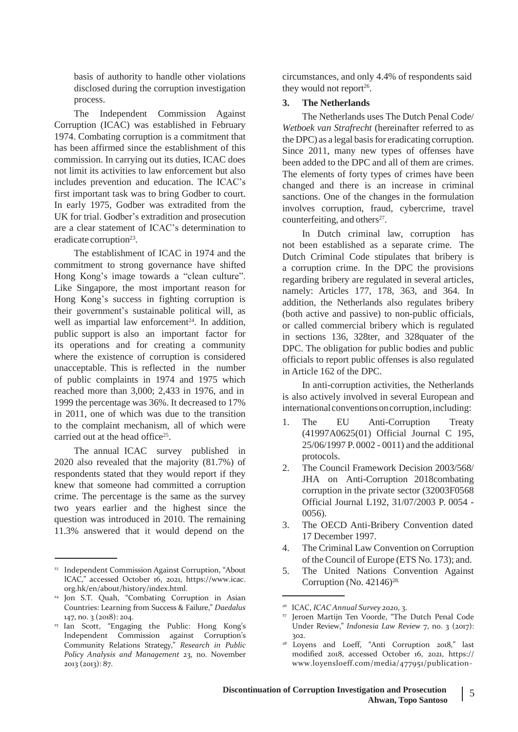basis of authority to handle other violations disclosed during the corruption investigation process.

The Independent Commission Against Corruption (ICAC) was established in February 1974. Combating corruption is a commitment that has been affirmed since the establishment of this commission. In carrying out its duties, ICAC does not limit its activities to law enforcement but also includes prevention and education. The ICAC's first important task was to bring Godber to court. In early 1975, Godber was extradited from the UK for trial. Godber's extradition and prosecution are a clear statement of ICAC's determination to eradicate corruption<sup>23</sup>.

The establishment of ICAC in 1974 and the commitment to strong governance have shifted Hong Kong's image towards a "clean culture". Like Singapore, the most important reason for Hong Kong's success in fighting corruption is their government's sustainable political will, as well as impartial law enforcement $24$ . In addition, public support is also an important factor for its operations and for creating a community where the existence of corruption is considered unacceptable. This is reflected in the number of public complaints in 1974 and 1975 which reached more than 3,000; 2,433 in 1976, and in 1999 the percentage was 36%. It decreased to 17% in 2011, one of which was due to the transition to the complaint mechanism, all of which were carried out at the head office<sup>25</sup>.

The annual ICAC survey published in 2020 also revealed that the majority (81.7%) of respondents stated that they would report if they knew that someone had committed a corruption crime. The percentage is the same as the survey two years earlier and the highest since the question was introduced in 2010. The remaining 11.3% answered that it would depend on the

circumstances, and only 4.4% of respondents said they would not report<sup>26</sup>.

## **3. The Netherlands**

The Netherlands uses The Dutch Penal Code/ *Wetboek van Strafrecht* (hereinafter referred to as the DPC) as a legal basis for eradicating corruption. Since 2011, many new types of offenses have been added to the DPC and all of them are crimes. The elements of forty types of crimes have been changed and there is an increase in criminal sanctions. One of the changes in the formulation involves corruption, fraud, cybercrime, travel counterfeiting, and others $27$ .

In Dutch criminal law, corruption has not been established as a separate crime. The Dutch Criminal Code stipulates that bribery is a corruption crime. In the DPC the provisions regarding bribery are regulated in several articles, namely: Articles 177, 178, 363, and 364. In addition, the Netherlands also regulates bribery (both active and passive) to non-public officials, or called commercial bribery which is regulated in sections 136, 328ter, and 328quater of the DPC. The obligation for public bodies and public officials to report public offenses is also regulated in Article 162 of the DPC.

In anti-corruption activities, the Netherlands is also actively involved in several European and international conventions on corruption, including:

- 1. The EU Anti-Corruption Treaty (41997A0625(01) Official Journal C 195, 25/06/1997 P. 0002 - 0011) and the additional protocols.
- 2. The Council Framework Decision 2003/568/ JHA on Anti-Corruption 2018combating corruption in the private sector (32003F0568 Official Journal L192, 31/07/2003 P. 0054 - 0056).
- 3. The OECD Anti-Bribery Convention dated 17 December 1997.
- 4. The Criminal Law Convention on Corruption of the Council of Europe (ETS No. 173); and.
- 5. The United Nations Convention Against Corruption (No.  $42146$ )<sup>28.</sup>

<sup>&</sup>lt;sup>23</sup> Independent Commission Against Corruption, "About ICAC," accessed October 16, 2021, https://www.icac. org.hk/en/about/history/index.html.

<sup>24</sup> Jon S.T. Quah, "Combating Corruption in Asian Countries: Learning from Success & Failure," *Daedalus* 147, no. 3 (2018): 204.

<sup>25</sup> Ian Scott, "Engaging the Public: Hong Kong's Independent Commission against Corruption's Community Relations Strategy," *Research in Public Policy Analysis and Management* 23, no. November 2013 (2013): 87.

<sup>26</sup>ICAC, *ICAC Annual Survey 2020*, 3.

<sup>27</sup> Jeroen Martijn Ten Voorde, "The Dutch Penal Code Under Review," *Indonesia Law Review* 7, no. 3 (2017): 302.

<sup>&</sup>lt;sup>28</sup> Loyens and Loeff, "Anti Corruption 2018," last modified 2018, accessed October 16, 2021, https:/[/](http://www.loyensloeff.com/media/477951/publication-) [www.loyensloeff.com/media/477951/publication-](http://www.loyensloeff.com/media/477951/publication-)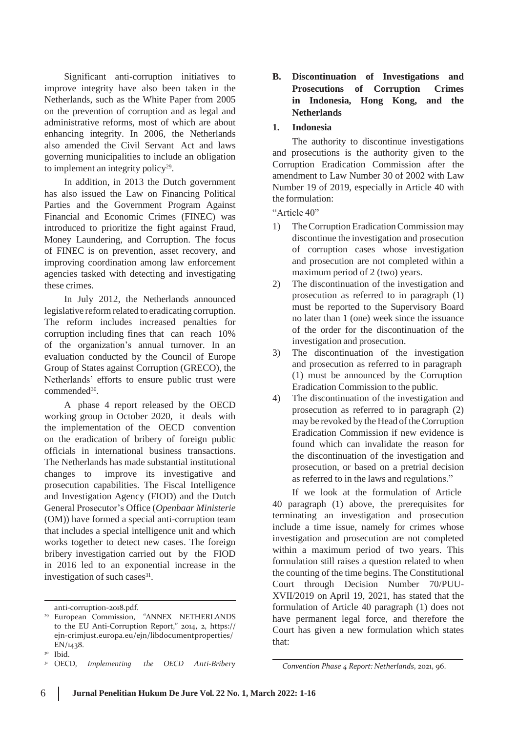Significant anti-corruption initiatives to improve integrity have also been taken in the Netherlands, such as the White Paper from 2005 on the prevention of corruption and as legal and administrative reforms, most of which are about enhancing integrity. In 2006, the Netherlands also amended the Civil Servant Act and laws governing municipalities to include an obligation to implement an integrity policy<sup>29</sup>.

In addition, in 2013 the Dutch government has also issued the Law on Financing Political Parties and the Government Program Against Financial and Economic Crimes (FINEC) was introduced to prioritize the fight against Fraud, Money Laundering, and Corruption. The focus of FINEC is on prevention, asset recovery, and improving coordination among law enforcement agencies tasked with detecting and investigating these crimes.

In July 2012, the Netherlands announced legislative reform related to eradicating corruption. The reform includes increased penalties for corruption including fines that can reach 10% of the organization's annual turnover. In an evaluation conducted by the Council of Europe Group of States against Corruption (GRECO), the Netherlands' efforts to ensure public trust were commended<sup>30</sup>.

A phase 4 report released by the OECD working group in October 2020, it deals with the implementation of the OECD convention on the eradication of bribery of foreign public officials in international business transactions. The Netherlands has made substantial institutional changes to improve its investigative and prosecution capabilities. The Fiscal Intelligence and Investigation Agency (FIOD) and the Dutch General Prosecutor's Office (*Openbaar Ministerie* (OM)) have formed a special anti-corruption team that includes a special intelligence unit and which works together to detect new cases. The foreign bribery investigation carried out by the FIOD in 2016 led to an exponential increase in the investigation of such cases<sup>31</sup>.

## **B. Discontinuation of Investigations and Prosecutions of Corruption Crimes in Indonesia, Hong Kong, and the Netherlands**

#### **1. Indonesia**

The authority to discontinue investigations and prosecutions is the authority given to the Corruption Eradication Commission after the amendment to Law Number 30 of 2002 with Law Number 19 of 2019, especially in Article 40 with the formulation:

"Article 40"

- 1) The Corruption Eradication Commission may discontinue the investigation and prosecution of corruption cases whose investigation and prosecution are not completed within a maximum period of 2 (two) years.
- 2) The discontinuation of the investigation and prosecution as referred to in paragraph (1) must be reported to the Supervisory Board no later than 1 (one) week since the issuance of the order for the discontinuation of the investigation and prosecution.
- 3) The discontinuation of the investigation and prosecution as referred to in paragraph (1) must be announced by the Corruption Eradication Commission to the public.
- 4) The discontinuation of the investigation and prosecution as referred to in paragraph (2) may be revoked by the Head of theCorruption Eradication Commission if new evidence is found which can invalidate the reason for the discontinuation of the investigation and prosecution, or based on a pretrial decision as referred to in the laws and regulations."

If we look at the formulation of Article 40 paragraph (1) above, the prerequisites for terminating an investigation and prosecution include a time issue, namely for crimes whose investigation and prosecution are not completed within a maximum period of two years. This formulation still raises a question related to when the counting of the time begins. The Constitutional Court through Decision Number 70/PUU-XVII/2019 on April 19, 2021, has stated that the formulation of Article 40 paragraph (1) does not have permanent legal force, and therefore the Court has given a new formulation which states that:

anti-corruption-2018.pdf.

<sup>29</sup> European Commission, "ANNEX NETHERLANDS to the EU Anti-Corruption Report," 2014, 2, https:// ejn-crimjust.europa.eu/ejn/libdocumentproperties/ EN/1438.

Ibid.

<sup>31</sup>OECD, *Implementing the OECD Anti-Bribery*

*Convention Phase 4 Report: Netherlands*, 2021, 96.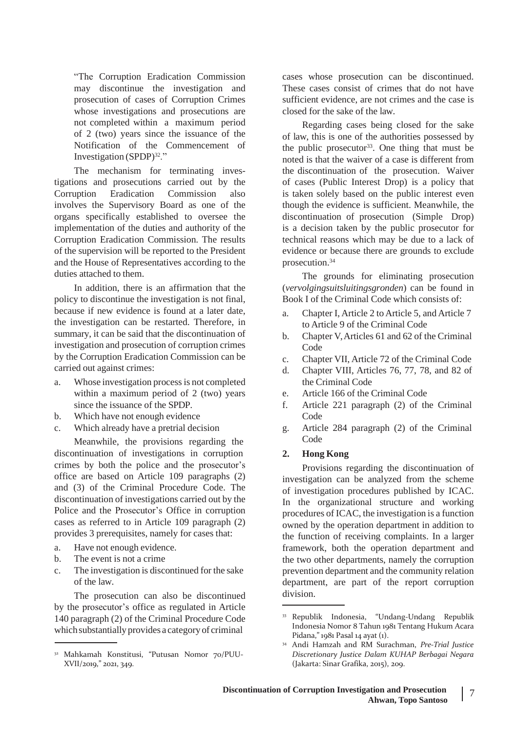"The Corruption Eradication Commission may discontinue the investigation and prosecution of cases of Corruption Crimes whose investigations and prosecutions are not completed within a maximum period of 2 (two) years since the issuance of the Notification of the Commencement of Investigation  $(SPDP)^{32}$ ."

The mechanism for terminating investigations and prosecutions carried out by the Corruption Eradication Commission also involves the Supervisory Board as one of the organs specifically established to oversee the implementation of the duties and authority of the Corruption Eradication Commission. The results of the supervision will be reported to the President and the House of Representatives according to the duties attached to them.

In addition, there is an affirmation that the policy to discontinue the investigation is not final, because if new evidence is found at a later date, the investigation can be restarted. Therefore, in summary, it can be said that the discontinuation of investigation and prosecution of corruption crimes by the Corruption Eradication Commission can be carried out against crimes:

- a. Whose investigation processis not completed within a maximum period of 2 (two) years since the issuance of the SPDP.
- b. Which have not enough evidence
- c. Which already have a pretrial decision

Meanwhile, the provisions regarding the discontinuation of investigations in corruption crimes by both the police and the prosecutor's office are based on Article 109 paragraphs (2) and (3) of the Criminal Procedure Code. The discontinuation of investigations carried out by the Police and the Prosecutor's Office in corruption cases as referred to in Article 109 paragraph (2) provides 3 prerequisites, namely for cases that:

- a. Have not enough evidence.
- b. The event is not a crime
- c. The investigation is discontinued for the sake of the law.

The prosecution can also be discontinued by the prosecutor's office as regulated in Article 140 paragraph (2) of the Criminal Procedure Code which substantially provides a category of criminal

cases whose prosecution can be discontinued. These cases consist of crimes that do not have sufficient evidence, are not crimes and the case is closed for the sake of the law.

Regarding cases being closed for the sake of law, this is one of the authorities possessed by the public prosecutor<sup>33</sup>. One thing that must be noted is that the waiver of a case is different from the discontinuation of the prosecution. Waiver of cases (Public Interest Drop) is a policy that is taken solely based on the public interest even though the evidence is sufficient. Meanwhile, the discontinuation of prosecution (Simple Drop) is a decision taken by the public prosecutor for technical reasons which may be due to a lack of evidence or because there are grounds to exclude prosecution.<sup>34</sup>

The grounds for eliminating prosecution (*vervolgingsuitsluitingsgronden*) can be found in Book I of the Criminal Code which consists of:

- a. Chapter I, Article 2 to Article 5, and Article 7 to Article 9 of the Criminal Code
- b. Chapter V,Articles 61 and 62 of the Criminal Code
- c. Chapter VII, Article 72 of the Criminal Code
- d. Chapter VIII, Articles 76, 77, 78, and 82 of the Criminal Code
- e. Article 166 of the Criminal Code
- f. Article 221 paragraph (2) of the Criminal Code
- g. Article 284 paragraph (2) of the Criminal Code

#### **2. Hong Kong**

Provisions regarding the discontinuation of investigation can be analyzed from the scheme of investigation procedures published by ICAC. In the organizational structure and working procedures of ICAC, the investigation is a function owned by the operation department in addition to the function of receiving complaints. In a larger framework, both the operation department and the two other departments, namely the corruption prevention department and the community relation department, are part of the report corruption division.

<sup>&</sup>lt;sup>32</sup> Mahkamah Konstitusi, "Putusan Nomor 70/PUU-XVII/2019," 2021, 349.

<sup>33</sup> Republik Indonesia, "Undang-Undang Republik Indonesia Nomor 8 Tahun 1981 Tentang Hukum Acara Pidana," 1981 Pasal 14 ayat (1).

<sup>34</sup> Andi Hamzah and RM Surachman, *Pre-Trial Justice Discretionary Justice Dalam KUHAP Berbagai Negara* (Jakarta: Sinar Grafika, 2015), 209.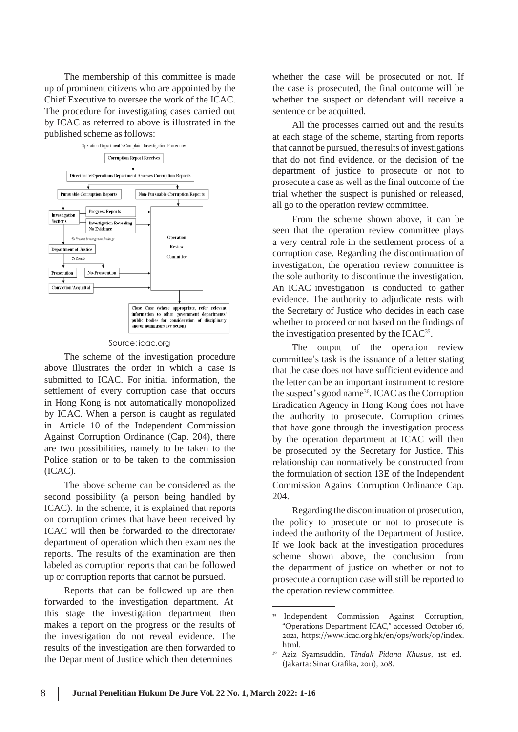The membership of this committee is made up of prominent citizens who are appointed by the Chief Executive to oversee the work of the ICAC. The procedure for investigating cases carried out by ICAC as referred to above is illustrated in the published scheme as follows:



#### Source: icac.org

The scheme of the investigation procedure above illustrates the order in which a case is submitted to ICAC. For initial information, the settlement of every corruption case that occurs in Hong Kong is not automatically monopolized by ICAC. When a person is caught as regulated in Article 10 of the Independent Commission Against Corruption Ordinance (Cap. 204), there are two possibilities, namely to be taken to the Police station or to be taken to the commission (ICAC).

The above scheme can be considered as the second possibility (a person being handled by ICAC). In the scheme, it is explained that reports on corruption crimes that have been received by ICAC will then be forwarded to the directorate/ department of operation which then examines the reports. The results of the examination are then labeled as corruption reports that can be followed up or corruption reports that cannot be pursued.

Reports that can be followed up are then forwarded to the investigation department. At this stage the investigation department then makes a report on the progress or the results of the investigation do not reveal evidence. The results of the investigation are then forwarded to the Department of Justice which then determines

whether the case will be prosecuted or not. If the case is prosecuted, the final outcome will be whether the suspect or defendant will receive a sentence or be acquitted.

All the processes carried out and the results at each stage of the scheme, starting from reports that cannot be pursued, the results of investigations that do not find evidence, or the decision of the department of justice to prosecute or not to prosecute a case as well as the final outcome of the trial whether the suspect is punished or released, all go to the operation review committee.

From the scheme shown above, it can be seen that the operation review committee plays a very central role in the settlement process of a corruption case. Regarding the discontinuation of investigation, the operation review committee is the sole authority to discontinue the investigation. An ICAC investigation is conducted to gather evidence. The authority to adjudicate rests with the Secretary of Justice who decides in each case whether to proceed or not based on the findings of the investigation presented by the ICAC<sup>35</sup>.

The output of the operation review committee's task is the issuance of a letter stating that the case does not have sufficient evidence and the letter can be an important instrument to restore the suspect's good name<sup>36</sup>. ICAC as the Corruption Eradication Agency in Hong Kong does not have the authority to prosecute. Corruption crimes that have gone through the investigation process by the operation department at ICAC will then be prosecuted by the Secretary for Justice. This relationship can normatively be constructed from the formulation of section 13E of the Independent Commission Against Corruption Ordinance Cap. 204.

Regarding the discontinuation of prosecution, the policy to prosecute or not to prosecute is indeed the authority of the Department of Justice. If we look back at the investigation procedures scheme shown above, the conclusion from the department of justice on whether or not to prosecute a corruption case will still be reported to the operation review committee.

<sup>35</sup> Independent Commission Against Corruption, "Operations Department ICAC," accessed October 16, 2021, h[ttps://www.icac.org.hk/en/ops/work/op/index.](http://www.icac.org.hk/en/ops/work/op/index) html.

<sup>36</sup>Aziz Syamsuddin, *Tindak Pidana Khusus*, 1st ed. (Jakarta: Sinar Grafika, 2011), 208.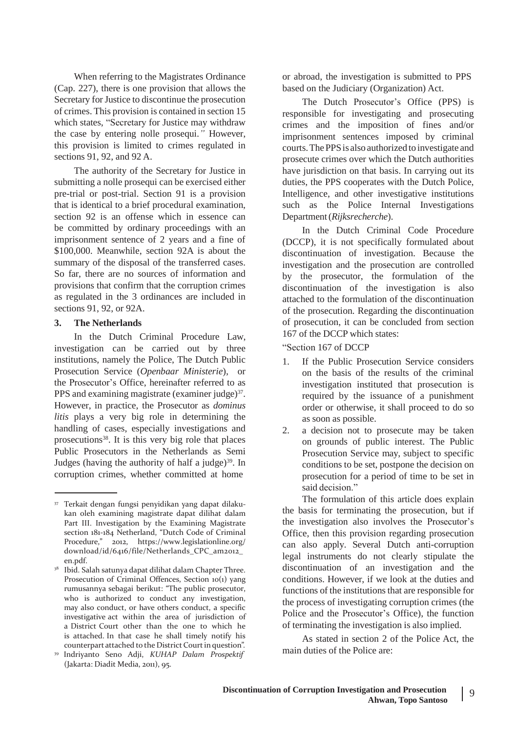When referring to the Magistrates Ordinance (Cap. 227), there is one provision that allows the Secretary for Justice to discontinue the prosecution of crimes. This provision is contained in section 15 which states, "Secretary for Justice may withdraw the case by entering nolle prosequi.*"* However, this provision is limited to crimes regulated in sections 91, 92, and 92 A.

The authority of the Secretary for Justice in submitting a nolle prosequi can be exercised either pre-trial or post-trial. Section 91 is a provision that is identical to a brief procedural examination, section 92 is an offense which in essence can be committed by ordinary proceedings with an imprisonment sentence of 2 years and a fine of \$100,000. Meanwhile, section 92A is about the summary of the disposal of the transferred cases. So far, there are no sources of information and provisions that confirm that the corruption crimes as regulated in the 3 ordinances are included in sections 91, 92, or 92A.

## **3. The Netherlands**

In the Dutch Criminal Procedure Law, investigation can be carried out by three institutions, namely the Police, The Dutch Public Prosecution Service (*Openbaar Ministerie*), or the Prosecutor's Office, hereinafter referred to as PPS and examining magistrate (examiner judge) $37$ . However, in practice, the Prosecutor as *dominus litis* plays a very big role in determining the handling of cases, especially investigations and prosecutions<sup>38</sup>. It is this very big role that places Public Prosecutors in the Netherlands as Semi Judges (having the authority of half a judge) $39$ . In corruption crimes, whether committed at home

or abroad, the investigation is submitted to PPS based on the Judiciary (Organization) Act.

The Dutch Prosecutor's Office (PPS) is responsible for investigating and prosecuting crimes and the imposition of fines and/or imprisonment sentences imposed by criminal courts. The PPS is also authorized to investigate and prosecute crimes over which the Dutch authorities have jurisdiction on that basis. In carrying out its duties, the PPS cooperates with the Dutch Police, Intelligence, and other investigative institutions such as the Police Internal Investigations Department(*Rijksrecherche*).

In the Dutch Criminal Code Procedure (DCCP), it is not specifically formulated about discontinuation of investigation. Because the investigation and the prosecution are controlled by the prosecutor, the formulation of the discontinuation of the investigation is also attached to the formulation of the discontinuation of the prosecution. Regarding the discontinuation of prosecution, it can be concluded from section 167 of the DCCP which states:

"Section 167 of DCCP

- 1. If the Public Prosecution Service considers on the basis of the results of the criminal investigation instituted that prosecution is required by the issuance of a punishment order or otherwise, it shall proceed to do so as soon as possible.
- 2. a decision not to prosecute may be taken on grounds of public interest. The Public Prosecution Service may, subject to specific conditions to be set, postpone the decision on prosecution for a period of time to be set in said decision."

The formulation of this article does explain the basis for terminating the prosecution, but if the investigation also involves the Prosecutor's Office, then this provision regarding prosecution can also apply. Several Dutch anti-corruption legal instruments do not clearly stipulate the discontinuation of an investigation and the conditions. However, if we look at the duties and functions of the institutions that are responsible for the process of investigating corruption crimes (the Police and the Prosecutor's Office), the function of terminating the investigation is also implied.

As stated in section 2 of the Police Act, the main duties of the Police are:

<sup>37</sup> Terkait dengan fungsi penyidikan yang dapat dilakukan oleh examining magistrate dapat dilihat dalam Part III. Investigation by the Examining Magistrate section 181-184 Netherland, "Dutch Code of Criminal Procedure," 2012, h[ttps://www.legislationline.org](http://www.legislationline.org/)/ download/id/6416/file/Netherlands\_CPC\_am2012\_ en.pdf.

<sup>&</sup>lt;sup>38</sup> Ibid. Salah satunya dapat dilihat dalam Chapter Three. Prosecution of Criminal Offences, Section 10(1) yang rumusannya sebagai berikut: "The public prosecutor, who is authorized to conduct any investigation, may also conduct, or have others conduct, a specific investigative act within the area of jurisdiction of a District Court other than the one to which he is attached. In that case he shall timely notify his counterpart attached to the District Courtin question".

<sup>39</sup>Indriyanto Seno Adji, *KUHAP Dalam Prospektif* (Jakarta: Diadit Media, 2011), 95.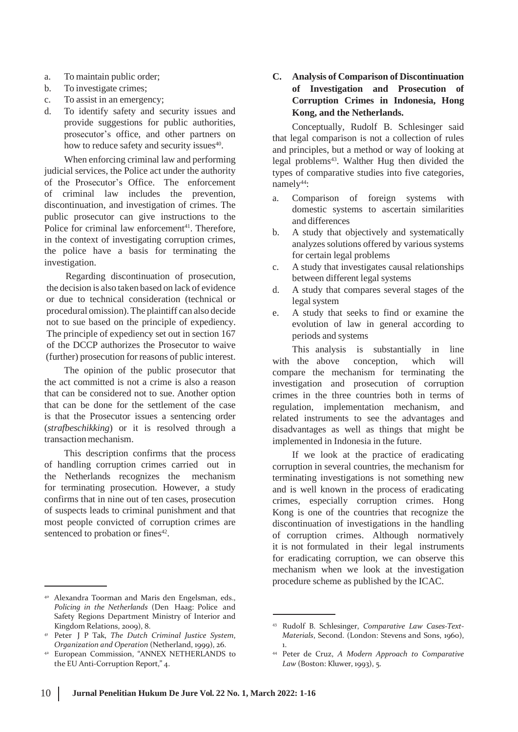- a. To maintain public order;
- b. To investigate crimes;
- c. To assist in an emergency;
- d. To identify safety and security issues and provide suggestions for public authorities, prosecutor's office, and other partners on how to reduce safety and security issues<sup>40</sup>.

When enforcing criminal law and performing judicial services, the Police act under the authority of the Prosecutor's Office. The enforcement of criminal law includes the prevention, discontinuation, and investigation of crimes. The public prosecutor can give instructions to the Police for criminal law enforcement<sup>41</sup>. Therefore, in the context of investigating corruption crimes, the police have a basis for terminating the investigation.

Regarding discontinuation of prosecution, the decision is also taken based on lack of evidence or due to technical consideration (technical or procedural omission).The plaintiff can also decide not to sue based on the principle of expediency. The principle of expediency set out in section 167 of the DCCP authorizes the Prosecutor to waive (further) prosecution for reasons of public interest.

The opinion of the public prosecutor that the act committed is not a crime is also a reason that can be considered not to sue. Another option that can be done for the settlement of the case is that the Prosecutor issues a sentencing order (*strafbeschikking*) or it is resolved through a transaction mechanism.

This description confirms that the process of handling corruption crimes carried out in the Netherlands recognizes the mechanism for terminating prosecution. However, a study confirms that in nine out of ten cases, prosecution of suspects leads to criminal punishment and that most people convicted of corruption crimes are sentenced to probation or fines<sup>42</sup>.

#### <sup>40</sup> Alexandra Toorman and Maris den Engelsman, eds., *Policing in the Netherlands* (Den Haag: Police and Safety Regions Department Ministry of Interior and Kingdom Relations, 2009), 8.

- <sup>41</sup> Peter J P Tak, *The Dutch Criminal Justice System*, *Organization and Operation* (Netherland, 1999), 26.
- <sup>42</sup> European Commission, "ANNEX NETHERLANDS to the EU Anti-Corruption Report," 4.

**C. Analysis of Comparison of Discontinuation of Investigation and Prosecution of Corruption Crimes in Indonesia, Hong Kong, and the Netherlands.**

Conceptually, Rudolf B. Schlesinger said that legal comparison is not a collection of rules and principles, but a method or way of looking at legal problems<sup>43</sup>. Walther Hug then divided the types of comparative studies into five categories, namely<sup>44</sup>:

- a. Comparison of foreign systems with domestic systems to ascertain similarities and differences
- b. A study that objectively and systematically analyzes solutions offered by various systems for certain legal problems
- c. A study that investigates causal relationships between different legal systems
- d. A study that compares several stages of the legal system
- e. A study that seeks to find or examine the evolution of law in general according to periods and systems

This analysis is substantially in line with the above conception, which will compare the mechanism for terminating the investigation and prosecution of corruption crimes in the three countries both in terms of regulation, implementation mechanism, and related instruments to see the advantages and disadvantages as well as things that might be implemented in Indonesia in the future.

If we look at the practice of eradicating corruption in several countries, the mechanism for terminating investigations is not something new and is well known in the process of eradicating crimes, especially corruption crimes. Hong Kong is one of the countries that recognize the discontinuation of investigations in the handling of corruption crimes. Although normatively it is not formulated in their legal instruments for eradicating corruption, we can observe this mechanism when we look at the investigation procedure scheme as published by the ICAC.

<sup>43</sup> Rudolf B. Schlesinger, *Comparative Law Cases-Text-Materials*, Second. (London: Stevens and Sons, 1960), 1.

<sup>44</sup> Peter de Cruz, *A Modern Approach to Comparative Law* (Boston: Kluwer, 1993), 5.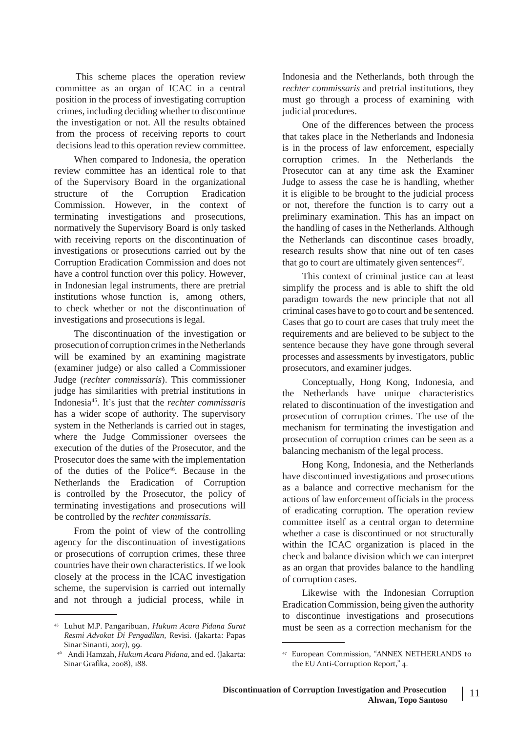This scheme places the operation review committee as an organ of ICAC in a central position in the process of investigating corruption crimes, including deciding whether to discontinue the investigation or not. All the results obtained from the process of receiving reports to court decisions lead to this operation review committee.

When compared to Indonesia, the operation review committee has an identical role to that of the Supervisory Board in the organizational structure of the Corruption Eradication Commission. However, in the context of terminating investigations and prosecutions, normatively the Supervisory Board is only tasked with receiving reports on the discontinuation of investigations or prosecutions carried out by the Corruption Eradication Commission and does not have a control function over this policy. However, in Indonesian legal instruments, there are pretrial institutions whose function is, among others, to check whether or not the discontinuation of investigations and prosecutions is legal.

The discontinuation of the investigation or prosecution of corruption crimes in the Netherlands will be examined by an examining magistrate (examiner judge) or also called a Commissioner Judge (*rechter commissaris*). This commissioner judge has similarities with pretrial institutions in Indonesia<sup>45</sup> . It's just that the *rechter commissaris* has a wider scope of authority. The supervisory system in the Netherlands is carried out in stages, where the Judge Commissioner oversees the execution of the duties of the Prosecutor, and the Prosecutor does the same with the implementation of the duties of the Police<sup>46</sup>. Because in the Netherlands the Eradication of Corruption is controlled by the Prosecutor, the policy of terminating investigations and prosecutions will be controlled by the *rechter commissaris*.

From the point of view of the controlling agency for the discontinuation of investigations or prosecutions of corruption crimes, these three countries have their own characteristics. If we look closely at the process in the ICAC investigation scheme, the supervision is carried out internally and not through a judicial process, while in

Indonesia and the Netherlands, both through the *rechter commissaris* and pretrial institutions, they must go through a process of examining with judicial procedures.

One of the differences between the process that takes place in the Netherlands and Indonesia is in the process of law enforcement, especially corruption crimes. In the Netherlands the Prosecutor can at any time ask the Examiner Judge to assess the case he is handling, whether it is eligible to be brought to the judicial process or not, therefore the function is to carry out a preliminary examination. This has an impact on the handling of cases in the Netherlands. Although the Netherlands can discontinue cases broadly, research results show that nine out of ten cases that go to court are ultimately given sentences<sup>47</sup>.

This context of criminal justice can at least simplify the process and is able to shift the old paradigm towards the new principle that not all criminal cases have to go to court and be sentenced. Cases that go to court are cases that truly meet the requirements and are believed to be subject to the sentence because they have gone through several processes and assessments by investigators, public prosecutors, and examiner judges.

Conceptually, Hong Kong, Indonesia, and the Netherlands have unique characteristics related to discontinuation of the investigation and prosecution of corruption crimes. The use of the mechanism for terminating the investigation and prosecution of corruption crimes can be seen as a balancing mechanism of the legal process.

Hong Kong, Indonesia, and the Netherlands have discontinued investigations and prosecutions as a balance and corrective mechanism for the actions of law enforcement officials in the process of eradicating corruption. The operation review committee itself as a central organ to determine whether a case is discontinued or not structurally within the ICAC organization is placed in the check and balance division which we can interpret as an organ that provides balance to the handling of corruption cases.

Likewise with the Indonesian Corruption EradicationCommission, being given the authority to discontinue investigations and prosecutions must be seen as a correction mechanism for the

<sup>45</sup> Luhut M.P. Pangaribuan, *Hukum Acara Pidana Surat Resmi Advokat Di Pengadilan*, Revisi. (Jakarta: Papas Sinar Sinanti, 2017), 99.

<sup>46</sup>Andi Hamzah, *Hukum Acara Pidana*, 2nd ed. (Jakarta: Sinar Grafika, 2008), 188.

<sup>&</sup>lt;sup>47</sup> European Commission, "ANNEX NETHERLANDS to the EU Anti-Corruption Report," 4.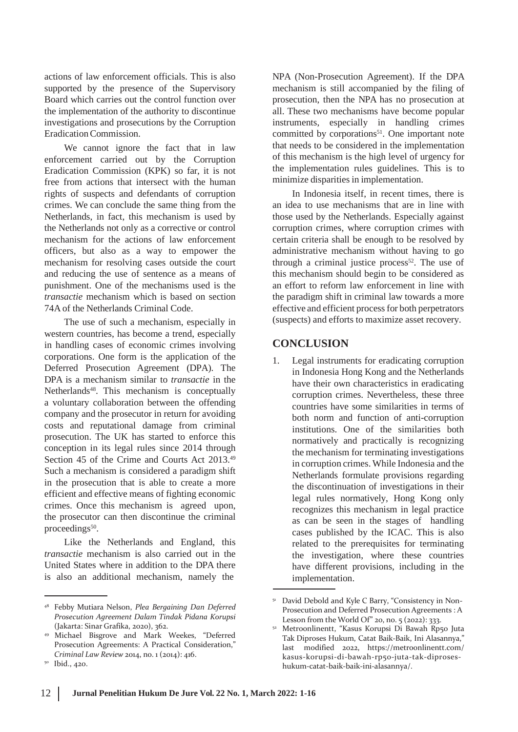actions of law enforcement officials. This is also supported by the presence of the Supervisory Board which carries out the control function over the implementation of the authority to discontinue investigations and prosecutions by the Corruption EradicationCommission.

We cannot ignore the fact that in law enforcement carried out by the Corruption Eradication Commission (KPK) so far, it is not free from actions that intersect with the human rights of suspects and defendants of corruption crimes. We can conclude the same thing from the Netherlands, in fact, this mechanism is used by the Netherlands not only as a corrective or control mechanism for the actions of law enforcement officers, but also as a way to empower the mechanism for resolving cases outside the court and reducing the use of sentence as a means of punishment. One of the mechanisms used is the *transactie* mechanism which is based on section 74A of the Netherlands Criminal Code.

The use of such a mechanism, especially in western countries, has become a trend, especially in handling cases of economic crimes involving corporations. One form is the application of the Deferred Prosecution Agreement (DPA). The DPA is a mechanism similar to *transactie* in the Netherlands<sup>48</sup>. This mechanism is conceptually a voluntary collaboration between the offending company and the prosecutor in return for avoiding costs and reputational damage from criminal prosecution. The UK has started to enforce this conception in its legal rules since 2014 through Section 45 of the Crime and Courts Act 2013.<sup>49</sup> Such a mechanism is considered a paradigm shift in the prosecution that is able to create a more efficient and effective means of fighting economic crimes. Once this mechanism is agreed upon, the prosecutor can then discontinue the criminal proceedings<sup>50</sup>.

Like the Netherlands and England, this *transactie* mechanism is also carried out in the United States where in addition to the DPA there is also an additional mechanism, namely the

NPA (Non-Prosecution Agreement). If the DPA mechanism is still accompanied by the filing of prosecution, then the NPA has no prosecution at all. These two mechanisms have become popular instruments, especially in handling crimes committed by corporations<sup>51</sup>. One important note that needs to be considered in the implementation of this mechanism is the high level of urgency for the implementation rules guidelines. This is to minimize disparities in implementation.

In Indonesia itself, in recent times, there is an idea to use mechanisms that are in line with those used by the Netherlands. Especially against corruption crimes, where corruption crimes with certain criteria shall be enough to be resolved by administrative mechanism without having to go through a criminal justice process $52$ . The use of this mechanism should begin to be considered as an effort to reform law enforcement in line with the paradigm shift in criminal law towards a more effective and efficient processfor both perpetrators (suspects) and efforts to maximize asset recovery.

# **CONCLUSION**

1. Legal instruments for eradicating corruption in Indonesia Hong Kong and the Netherlands have their own characteristics in eradicating corruption crimes. Nevertheless, these three countries have some similarities in terms of both norm and function of anti-corruption institutions. One of the similarities both normatively and practically is recognizing the mechanism for terminating investigations in corruption crimes.While Indonesia and the Netherlands formulate provisions regarding the discontinuation of investigations in their legal rules normatively, Hong Kong only recognizes this mechanism in legal practice as can be seen in the stages of handling cases published by the ICAC. This is also related to the prerequisites for terminating the investigation, where these countries have different provisions, including in the implementation.

<sup>48</sup> Febby Mutiara Nelson, *Plea Bergaining Dan Deferred Prosecution Agreement Dalam Tindak Pidana Korupsi* (Jakarta: Sinar Grafika, 2020), 362.

<sup>49</sup> Michael Bisgrove and Mark Weekes, "Deferred Prosecution Agreements: A Practical Consideration," *Criminal Law Review* 2014, no. 1 (2014): 416.

<sup>&</sup>lt;sup>50</sup> Ibid., 420.

<sup>&</sup>lt;sup>51</sup> David Debold and Kyle C Barry, "Consistency in Non-Prosecution and Deferred Prosecution Agreements : A Lesson from the World Of" 20, no. 5 (2022): 333.

Metroonlinentt, "Kasus Korupsi Di Bawah Rp50 Juta Tak Diproses Hukum, Catat Baik-Baik, Ini Alasannya," last modified 2022, https://metroonlinentt.com/ kasus-korupsi-di-bawah-rp50-juta-tak-diproseshukum-catat-baik-baik-ini-alasannya/.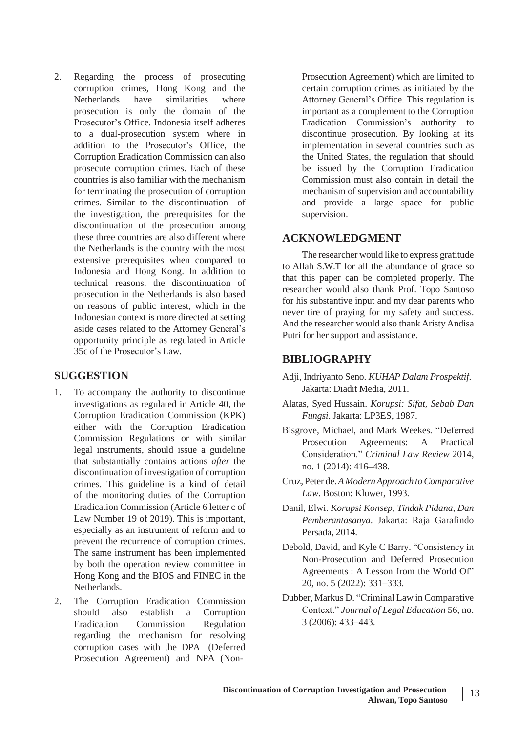2. Regarding the process of prosecuting corruption crimes, Hong Kong and the Netherlands have similarities where prosecution is only the domain of the Prosecutor's Office. Indonesia itself adheres to a dual-prosecution system where in addition to the Prosecutor's Office, the Corruption Eradication Commission can also prosecute corruption crimes. Each of these countries is also familiar with the mechanism for terminating the prosecution of corruption crimes. Similar to the discontinuation of the investigation, the prerequisites for the discontinuation of the prosecution among these three countries are also different where the Netherlands is the country with the most extensive prerequisites when compared to Indonesia and Hong Kong. In addition to technical reasons, the discontinuation of prosecution in the Netherlands is also based on reasons of public interest, which in the Indonesian context is more directed at setting aside cases related to the Attorney General's opportunity principle as regulated in Article 35c of the Prosecutor's Law.

# **SUGGESTION**

- 1. To accompany the authority to discontinue investigations as regulated in Article 40, the Corruption Eradication Commission (KPK) either with the Corruption Eradication Commission Regulations or with similar legal instruments, should issue a guideline that substantially contains actions *after* the discontinuation of investigation of corruption crimes. This guideline is a kind of detail of the monitoring duties of the Corruption Eradication Commission (Article 6 letter c of Law Number 19 of 2019). This is important, especially as an instrument of reform and to prevent the recurrence of corruption crimes. The same instrument has been implemented by both the operation review committee in Hong Kong and the BIOS and FINEC in the Netherlands.
- 2. The Corruption Eradication Commission should also establish a Corruption Eradication Commission Regulation regarding the mechanism for resolving corruption cases with the DPA (Deferred Prosecution Agreement) and NPA (Non-

Prosecution Agreement) which are limited to certain corruption crimes as initiated by the Attorney General's Office. This regulation is important as a complement to the Corruption Eradication Commission's authority to discontinue prosecution. By looking at its implementation in several countries such as the United States, the regulation that should be issued by the Corruption Eradication Commission must also contain in detail the mechanism of supervision and accountability and provide a large space for public supervision.

# **ACKNOWLEDGMENT**

The researcher would like to express gratitude to Allah S.W.T for all the abundance of grace so that this paper can be completed properly. The researcher would also thank Prof. Topo Santoso for his substantive input and my dear parents who never tire of praying for my safety and success. And the researcher would also thank Aristy Andisa Putri for her support and assistance.

# **BIBLIOGRAPHY**

- Adji, Indriyanto Seno. *KUHAP Dalam Prospektif*. Jakarta: Diadit Media, 2011.
- Alatas, Syed Hussain. *Korupsi: Sifat, Sebab Dan Fungsi*. Jakarta: LP3ES, 1987.
- Bisgrove, Michael, and Mark Weekes. "Deferred Prosecution Agreements: A Practical Consideration." *Criminal Law Review* 2014, no. 1 (2014): 416–438.
- Cruz,Peter de.*AModernApproach toComparative Law*. Boston: Kluwer, 1993.
- Danil, Elwi. *Korupsi Konsep, Tindak Pidana, Dan Pemberantasanya*. Jakarta: Raja Garafindo Persada, 2014.
- Debold, David, and Kyle C Barry. "Consistency in Non-Prosecution and Deferred Prosecution Agreements : A Lesson from the World Of" 20, no. 5 (2022): 331–333.
- Dubber, Markus D. "Criminal Law in Comparative Context." *Journal of Legal Education* 56, no. 3 (2006): 433–443.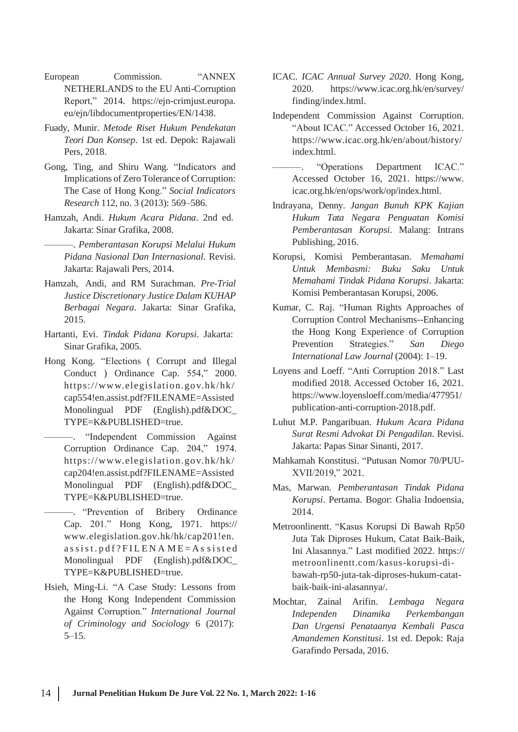- European Commission. "ANNEX NETHERLANDS to the EU Anti-Corruption Report," 2014. https://ejn-crimjust.europa. eu/ejn/libdocumentproperties/EN/1438.
- Fuady, Munir. *Metode Riset Hukum Pendekatan Teori Dan Konsep*. 1st ed. Depok: Rajawali Pers, 2018.
- Gong, Ting, and Shiru Wang. "Indicators and Implications of Zero Tolerance of Corruption: The Case of Hong Kong." *Social Indicators Research* 112, no. 3 (2013): 569–586.
- Hamzah, Andi. *Hukum Acara Pidana*. 2nd ed. Jakarta: Sinar Grafika, 2008.
	- ———. *Pemberantasan Korupsi Melalui Hukum Pidana Nasional Dan Internasional*. Revisi. Jakarta: Rajawali Pers, 2014.
- Hamzah, Andi, and RM Surachman. *Pre-Trial Justice Discretionary Justice Dalam KUHAP Berbagai Negara*. Jakarta: Sinar Grafika, 2015.
- Hartanti, Evi. *Tindak Pidana Korupsi*. Jakarta: Sinar Grafika, 2005.
- Hong Kong. "Elections ( Corrupt and Illegal Conduct ) Ordinance Cap. 554," 2000. [https://www.elegislation.go](http://www.elegislation.gov.hk/hk/) v.hk/hk/ cap554!en.assist.pdf?FILENAME=Assisted Monolingual PDF (English).pdf&DOC\_ TYPE=K&PUBLISHED=true.
	- "Independent Commission Against Corruption Ordinance Cap. 204," 1974. [https://www.elegislation.go](http://www.elegislation.gov.hk/hk/) v.hk/hk/ cap204!en.assist.pdf?FILENAME=Assisted Monolingual PDF (English).pdf&DOC\_ TYPE=K&PUBLISHED=true.
- ———. "Prevention of Bribery Ordinance Cap. 201." Hong Kong, 1971. https:// [www.elegislation.gov.hk/hk/cap201!en.](http://www.elegislation.gov.hk/hk/cap201!en)  $a$ s s i s t . p d f ? F I L E N A M E = A s s i s t e d Monolingual PDF (English).pdf&DOC\_ TYPE=K&PUBLISHED=true.
- Hsieh, Ming-Li. "A Case Study: Lessons from the Hong Kong Independent Commission Against Corruption." *International Journal of Criminology and Sociology* 6 (2017): 5–15.
- ICAC. *ICAC Annual Survey 2020*. Hong Kong, 2020. [https://www.](http://www.icac.org.hk/en/survey/)icac.o[rg.hk/en/survey/](http://www.icac.org.hk/en/survey/) finding/index.html.
- Independent Commission Against Corruption. "About ICAC." Accessed October 16, 2021. https:/[/www.icac.org.hk/en/about/history/](http://www.icac.org.hk/en/about/history/) index.html.
- ———. "Operations Department ICAC." Accessed October 16, 2021. [https://www.](http://www/) icac.org.hk/en/ops/work/op/index.html.
- Indrayana, Denny. *Jangan Bunuh KPK Kajian Hukum Tata Negara Penguatan Komisi Pemberantasan Korupsi*. Malang: Intrans Publishing, 2016.
- Korupsi, Komisi Pemberantasan. *Memahami Untuk Membasmi: Buku Saku Untuk Memahami Tindak Pidana Korupsi*. Jakarta: Komisi Pemberantasan Korupsi, 2006.
- Kumar, C. Raj. "Human Rights Approaches of Corruption Control Mechanisms--Enhancing the Hong Kong Experience of Corruption Prevention Strategies." *San Diego International Law Journal* (2004): 1–19.
- Loyens and Loeff. "Anti Corruption 2018." Last modified 2018. Accessed October 16, 2021. [https://www.loyensloeff.com/media/477951/](http://www.loyensloeff.com/media/477951/) publication-anti-corruption-2018.pdf.
- Luhut M.P. Pangaribuan. *Hukum Acara Pidana Surat Resmi Advokat Di Pengadilan*. Revisi. Jakarta: Papas Sinar Sinanti, 2017.
- Mahkamah Konstitusi. "Putusan Nomor 70/PUU-XVII/2019," 2021.
- Mas, Marwan. *Pemberantasan Tindak Pidana Korupsi*. Pertama. Bogor: Ghalia Indoensia, 2014.
- Metroonlinentt. "Kasus Korupsi Di Bawah Rp50 Juta Tak Diproses Hukum, Catat Baik-Baik, Ini Alasannya." Last modified 2022. https:// metroonlinentt.com/kasus-korupsi-dibawah-rp50-juta-tak-diproses-hukum-catatbaik-baik-ini-alasannya/.
- Mochtar, Zainal Arifin. *Lembaga Negara Independen Dinamika Perkembangan Dan Urgensi Penataanya Kembali Pasca Amandemen Konstitusi*. 1st ed. Depok: Raja Garafindo Persada, 2016.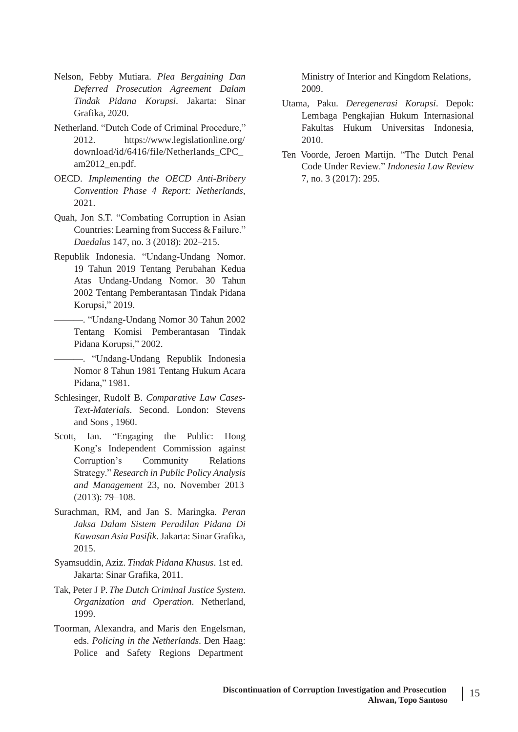- Nelson, Febby Mutiara. *Plea Bergaining Dan Deferred Prosecution Agreement Dalam Tindak Pidana Korupsi*. Jakarta: Sinar Grafika, 2020.
- Netherland. "Dutch Code of Criminal Procedure," 2012. [https://www.legislationline.org](http://www.legislationline.org/)/ download/id/6416/file/Netherlands\_CPC\_ am2012\_en.pdf.
- OECD. *Implementing the OECD Anti-Bribery Convention Phase 4 Report: Netherlands*, 2021.
- Quah, Jon S.T. "Combating Corruption in Asian Countries: Learning from Success & Failure." *Daedalus* 147, no. 3 (2018): 202–215.
- Republik Indonesia. "Undang-Undang Nomor. 19 Tahun 2019 Tentang Perubahan Kedua Atas Undang-Undang Nomor. 30 Tahun 2002 Tentang Pemberantasan Tindak Pidana Korupsi," 2019.
- ———. "Undang-Undang Nomor 30 Tahun 2002 Tentang Komisi Pemberantasan Tindak Pidana Korupsi," 2002.
- ———. "Undang-Undang Republik Indonesia Nomor 8 Tahun 1981 Tentang Hukum Acara Pidana," 1981.
- Schlesinger, Rudolf B. *Comparative Law Cases-Text-Materials*. Second. London: Stevens and Sons , 1960.
- Scott, Ian. "Engaging the Public: Hong Kong's Independent Commission against Corruption's Community Relations Strategy." *Research in Public Policy Analysis and Management* 23, no. November 2013 (2013): 79–108.
- Surachman, RM, and Jan S. Maringka. *Peran Jaksa Dalam Sistem Peradilan Pidana Di Kawasan Asia Pasifik*.Jakarta: Sinar Grafika, 2015.
- Syamsuddin, Aziz. *Tindak Pidana Khusus*. 1st ed. Jakarta: Sinar Grafika, 2011.
- Tak, Peter J P. *The Dutch Criminal Justice System*. *Organization and Operation*. Netherland, 1999.
- Toorman, Alexandra, and Maris den Engelsman, eds. *Policing in the Netherlands*. Den Haag: Police and Safety Regions Department

Ministry of Interior and Kingdom Relations, 2009.

- Utama, Paku. *Deregenerasi Korupsi*. Depok: Lembaga Pengkajian Hukum Internasional Fakultas Hukum Universitas Indonesia, 2010.
- Ten Voorde, Jeroen Martijn. "The Dutch Penal Code Under Review." *Indonesia Law Review* 7, no. 3 (2017): 295.